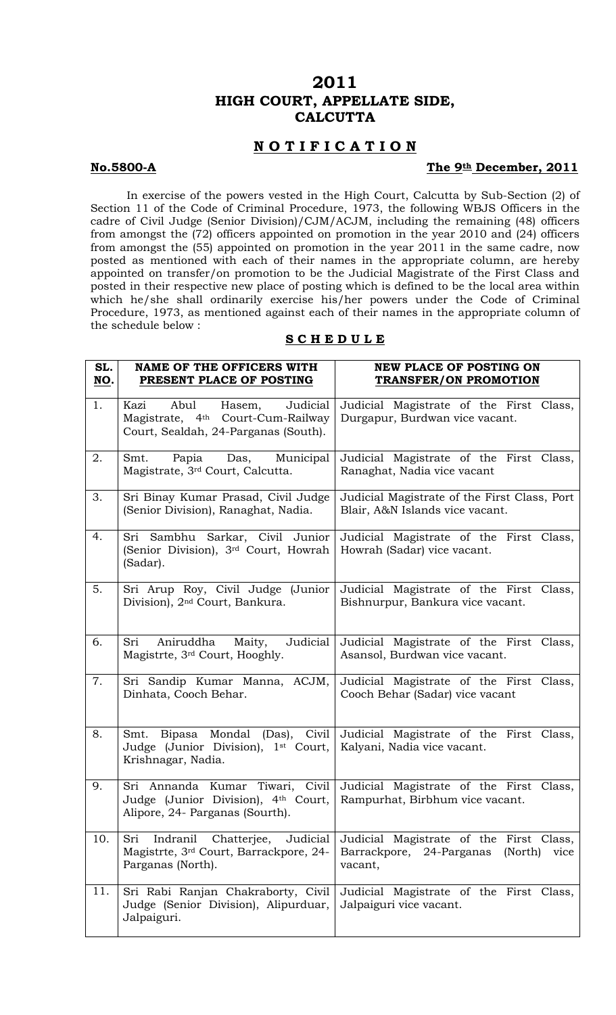## **2011 HIGH COURT, APPELLATE SIDE, CALCUTTA**

## **N O T I F I C A T I O N**

### No.5800-A The 9th December, 2011

 In exercise of the powers vested in the High Court, Calcutta by Sub-Section (2) of Section 11 of the Code of Criminal Procedure, 1973, the following WBJS Officers in the cadre of Civil Judge (Senior Division)/CJM/ACJM, including the remaining (48) officers from amongst the (72) officers appointed on promotion in the year 2010 and (24) officers from amongst the (55) appointed on promotion in the year 2011 in the same cadre, now posted as mentioned with each of their names in the appropriate column, are hereby appointed on transfer/on promotion to be the Judicial Magistrate of the First Class and posted in their respective new place of posting which is defined to be the local area within which he/she shall ordinarily exercise his/her powers under the Code of Criminal Procedure, 1973, as mentioned against each of their names in the appropriate column of the schedule below :

#### **S C H E D U L E**

| SL.<br>NO. | <b>NAME OF THE OFFICERS WITH</b><br>PRESENT PLACE OF POSTING                                                                | <b>NEW PLACE OF POSTING ON</b><br><b>TRANSFER/ON PROMOTION</b>                                    |
|------------|-----------------------------------------------------------------------------------------------------------------------------|---------------------------------------------------------------------------------------------------|
| 1.         | Abul<br>Judicial<br>Kazi<br>Hasem,<br>Magistrate, 4 <sup>th</sup> Court-Cum-Railway<br>Court, Sealdah, 24-Parganas (South). | Judicial Magistrate of the First Class,<br>Durgapur, Burdwan vice vacant.                         |
| 2.         | Papia Das, Municipal<br>Smt.<br>Magistrate, 3 <sup>rd</sup> Court, Calcutta.                                                | Judicial Magistrate of the First Class,<br>Ranaghat, Nadia vice vacant                            |
| 3.         | Sri Binay Kumar Prasad, Civil Judge<br>(Senior Division), Ranaghat, Nadia.                                                  | Judicial Magistrate of the First Class, Port<br>Blair, A&N Islands vice vacant.                   |
| 4.         | Sri Sambhu Sarkar, Civil Junior<br>(Senior Division), 3 <sup>rd</sup> Court, Howrah<br>(Sadar).                             | Judicial Magistrate of the First Class,<br>Howrah (Sadar) vice vacant.                            |
| 5.         | Sri Arup Roy, Civil Judge (Junior<br>Division), 2 <sup>nd</sup> Court, Bankura.                                             | Judicial Magistrate of the First Class,<br>Bishnurpur, Bankura vice vacant.                       |
| 6.         | Aniruddha Maity, Judicial<br>Sri<br>Magistrte, 3rd Court, Hooghly.                                                          | Judicial Magistrate of the First Class,<br>Asansol, Burdwan vice vacant.                          |
| 7.         | Sri Sandip Kumar Manna, ACJM,<br>Dinhata, Cooch Behar.                                                                      | Judicial Magistrate of the First Class,<br>Cooch Behar (Sadar) vice vacant                        |
| 8.         | Smt.<br>Judge (Junior Division), 1 <sup>st</sup> Court,<br>Krishnagar, Nadia.                                               | Bipasa Mondal (Das), Civil Judicial Magistrate of the First Class,<br>Kalyani, Nadia vice vacant. |
| 9.         | Sri Annanda Kumar Tiwari, Civil<br>Judge (Junior Division), 4th Court,<br>Alipore, 24- Parganas (Sourth).                   | Judicial Magistrate of the First Class,<br>Rampurhat, Birbhum vice vacant.                        |
| 10.        | Indranil<br>Sri<br>Chatterjee,<br>Judicial<br>Magistrte, 3 <sup>rd</sup> Court, Barrackpore, 24-<br>Parganas (North).       | Judicial Magistrate of the First Class,<br>Barrackpore, 24-Parganas<br>(North)<br>vice<br>vacant, |
| 11.        | Sri Rabi Ranjan Chakraborty, Civil<br>Judge (Senior Division), Alipurduar,<br>Jalpaiguri.                                   | Judicial Magistrate of the First Class,<br>Jalpaiguri vice vacant.                                |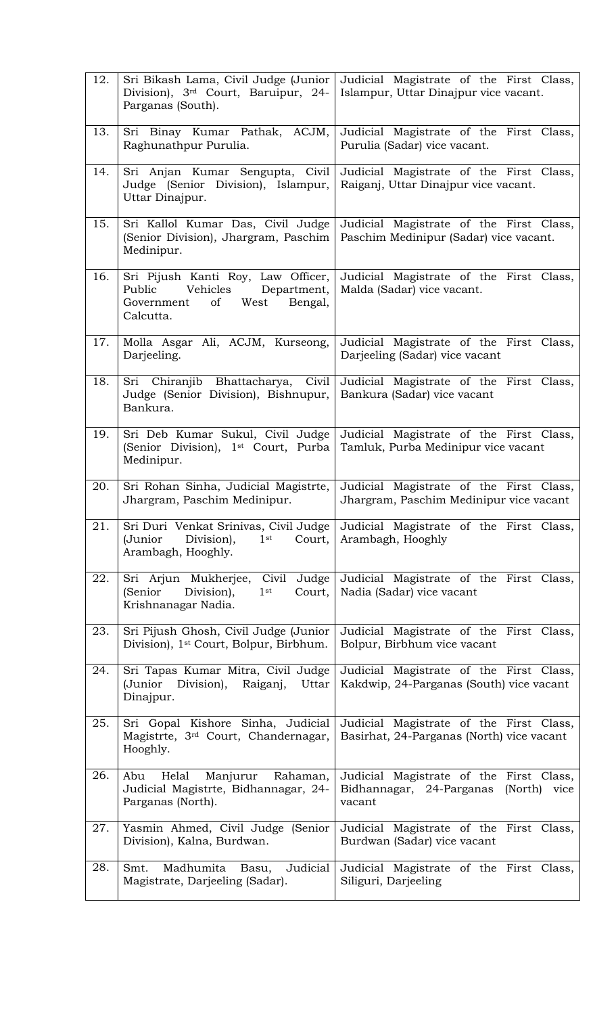| 12. | Sri Bikash Lama, Civil Judge (Junior<br>Division), 3rd Court, Baruipur, 24-<br>Parganas (South).                         | Judicial Magistrate of the First Class,<br>Islampur, Uttar Dinajpur vice vacant.                 |
|-----|--------------------------------------------------------------------------------------------------------------------------|--------------------------------------------------------------------------------------------------|
| 13. | Sri Binay Kumar Pathak, ACJM,<br>Raghunathpur Purulia.                                                                   | Judicial Magistrate of the First Class,<br>Purulia (Sadar) vice vacant.                          |
| 14. | Sri Anjan Kumar Sengupta, Civil<br>Judge (Senior Division), Islampur,<br>Uttar Dinajpur.                                 | Judicial Magistrate of the First Class,<br>Raiganj, Uttar Dinajpur vice vacant.                  |
| 15. | Sri Kallol Kumar Das, Civil Judge<br>(Senior Division), Jhargram, Paschim<br>Medinipur.                                  | Judicial Magistrate of the First Class,<br>Paschim Medinipur (Sadar) vice vacant.                |
| 16. | Sri Pijush Kanti Roy, Law Officer,<br>Vehicles Department,<br>Public<br>West<br>of<br>Bengal,<br>Government<br>Calcutta. | Judicial Magistrate of the First Class,<br>Malda (Sadar) vice vacant.                            |
| 17. | Molla Asgar Ali, ACJM, Kurseong,<br>Darjeeling.                                                                          | Judicial Magistrate of the First Class,<br>Darjeeling (Sadar) vice vacant                        |
| 18. | Sri Chiranjib Bhattacharya, Civil<br>Judge (Senior Division), Bishnupur,<br>Bankura.                                     | Judicial Magistrate of the First Class,<br>Bankura (Sadar) vice vacant                           |
| 19. | Sri Deb Kumar Sukul, Civil Judge<br>(Senior Division), 1 <sup>st</sup> Court, Purba<br>Medinipur.                        | Judicial Magistrate of the First Class,<br>Tamluk, Purba Medinipur vice vacant                   |
| 20. | Sri Rohan Sinha, Judicial Magistrte,<br>Jhargram, Paschim Medinipur.                                                     | Judicial Magistrate of the First Class,<br>Jhargram, Paschim Medinipur vice vacant               |
| 21. | Sri Duri Venkat Srinivas, Civil Judge  <br>1 <sup>st</sup><br>(Junior<br>Division),<br>Court,<br>Arambagh, Hooghly.      | Judicial Magistrate of the First Class,<br>Arambagh, Hooghly                                     |
| 22. | Sri Arjun Mukherjee, Civil Judge<br>(Senior<br>Division),<br>1 <sup>st</sup><br>Court,<br>Krishnanagar Nadia.            | Judicial Magistrate of the First Class,<br>Nadia (Sadar) vice vacant                             |
| 23. | Sri Pijush Ghosh, Civil Judge (Junior<br>Division), 1 <sup>st</sup> Court, Bolpur, Birbhum.                              | Judicial Magistrate of the First Class,<br>Bolpur, Birbhum vice vacant                           |
| 24. | Sri Tapas Kumar Mitra, Civil Judge<br>(Junior Division), Raiganj,<br>Uttar<br>Dinajpur.                                  | Judicial Magistrate of the First Class,<br>Kakdwip, 24-Parganas (South) vice vacant              |
| 25. | Sri Gopal Kishore Sinha, Judicial<br>Magistrte, 3rd Court, Chandernagar,<br>Hooghly.                                     | Judicial Magistrate of the First Class,<br>Basirhat, 24-Parganas (North) vice vacant             |
| 26. | Helal Manjurur<br>Abu<br>Rahaman,<br>Judicial Magistrte, Bidhannagar, 24-<br>Parganas (North).                           | Judicial Magistrate of the First Class,<br>Bidhannagar, 24-Parganas<br>(North)<br>vice<br>vacant |
| 27. | Yasmin Ahmed, Civil Judge (Senior<br>Division), Kalna, Burdwan.                                                          | Judicial Magistrate of the First Class,<br>Burdwan (Sadar) vice vacant                           |
| 28. | Madhumita Basu,<br>Judicial<br>Smt.<br>Magistrate, Darjeeling (Sadar).                                                   | Judicial Magistrate of the First Class,<br>Siliguri, Darjeeling                                  |